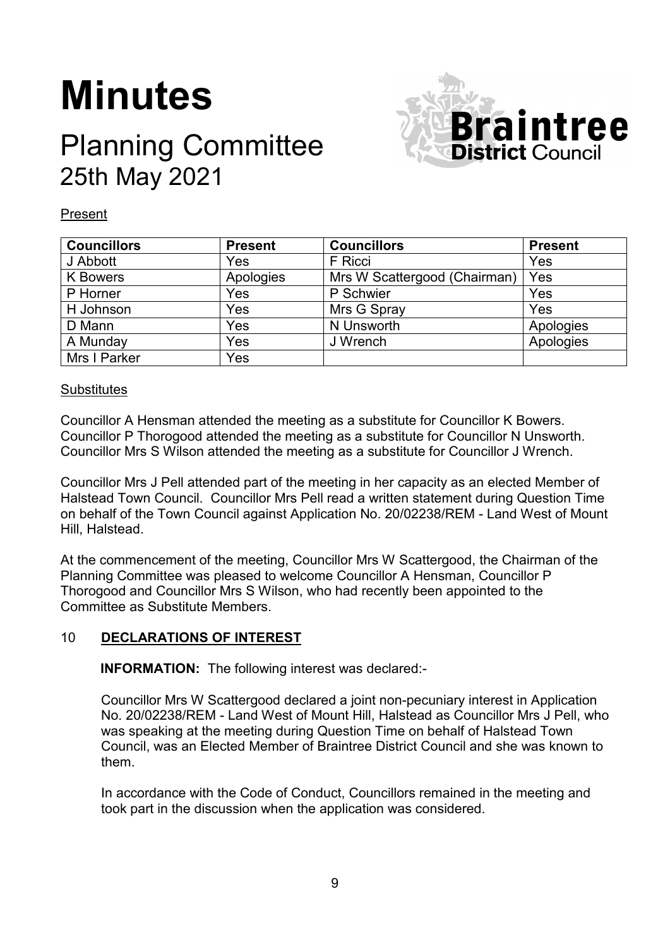# **Minutes**

# Planning Committee 25th May 2021



#### Present

| <b>Councillors</b> | <b>Present</b> | <b>Councillors</b>           | <b>Present</b> |
|--------------------|----------------|------------------------------|----------------|
| J Abbott           | Yes            | F Ricci                      | Yes            |
| <b>K</b> Bowers    | Apologies      | Mrs W Scattergood (Chairman) | Yes            |
| P Horner           | Yes            | P Schwier                    | Yes            |
| H Johnson          | Yes            | Mrs G Spray                  | Yes            |
| D Mann             | Yes            | N Unsworth                   | Apologies      |
| A Munday           | Yes            | J Wrench                     | Apologies      |
| Mrs I Parker       | Yes            |                              |                |

## **Substitutes**

Councillor A Hensman attended the meeting as a substitute for Councillor K Bowers. Councillor P Thorogood attended the meeting as a substitute for Councillor N Unsworth. Councillor Mrs S Wilson attended the meeting as a substitute for Councillor J Wrench.

Councillor Mrs J Pell attended part of the meeting in her capacity as an elected Member of Halstead Town Council. Councillor Mrs Pell read a written statement during Question Time on behalf of the Town Council against Application No. 20/02238/REM - Land West of Mount Hill, Halstead.

At the commencement of the meeting, Councillor Mrs W Scattergood, the Chairman of the Planning Committee was pleased to welcome Councillor A Hensman, Councillor P Thorogood and Councillor Mrs S Wilson, who had recently been appointed to the Committee as Substitute Members.

# 10 **DECLARATIONS OF INTEREST**

**INFORMATION:** The following interest was declared:-

Councillor Mrs W Scattergood declared a joint non-pecuniary interest in Application No. 20/02238/REM - Land West of Mount Hill, Halstead as Councillor Mrs J Pell, who was speaking at the meeting during Question Time on behalf of Halstead Town Council, was an Elected Member of Braintree District Council and she was known to them.

In accordance with the Code of Conduct, Councillors remained in the meeting and took part in the discussion when the application was considered.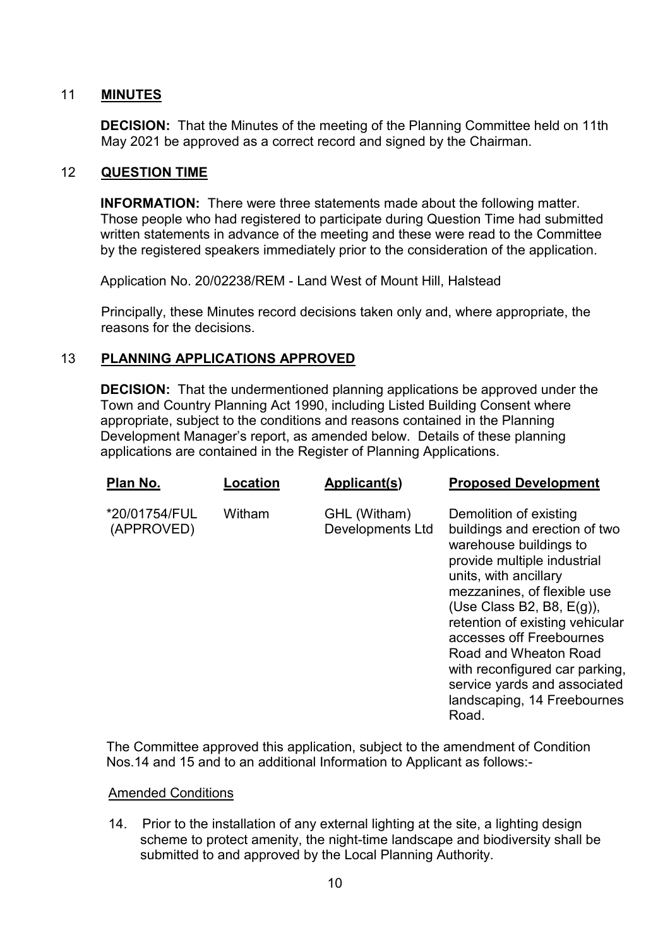## 11 **MINUTES**

**DECISION:** That the Minutes of the meeting of the Planning Committee held on 11th May 2021 be approved as a correct record and signed by the Chairman.

## 12 **QUESTION TIME**

**INFORMATION:** There were three statements made about the following matter. Those people who had registered to participate during Question Time had submitted written statements in advance of the meeting and these were read to the Committee by the registered speakers immediately prior to the consideration of the application.

Application No. 20/02238/REM - Land West of Mount Hill, Halstead

Principally, these Minutes record decisions taken only and, where appropriate, the reasons for the decisions.

# 13 **PLANNING APPLICATIONS APPROVED**

**DECISION:** That the undermentioned planning applications be approved under the Town and Country Planning Act 1990, including Listed Building Consent where appropriate, subject to the conditions and reasons contained in the Planning Development Manager's report, as amended below. Details of these planning applications are contained in the Register of Planning Applications.

| Plan No.                    | Location | Applicant(s)                            | <b>Proposed Development</b>                                                                                                                                                                                                                                                                                                                                                                                |
|-----------------------------|----------|-----------------------------------------|------------------------------------------------------------------------------------------------------------------------------------------------------------------------------------------------------------------------------------------------------------------------------------------------------------------------------------------------------------------------------------------------------------|
| *20/01754/FUL<br>(APPROVED) | Witham   | GHL (Witham)<br><b>Developments Ltd</b> | Demolition of existing<br>buildings and erection of two<br>warehouse buildings to<br>provide multiple industrial<br>units, with ancillary<br>mezzanines, of flexible use<br>(Use Class B2, B8, $E(g)$ ),<br>retention of existing vehicular<br>accesses off Freebournes<br>Road and Wheaton Road<br>with reconfigured car parking,<br>service yards and associated<br>landscaping, 14 Freebournes<br>Road. |

The Committee approved this application, subject to the amendment of Condition Nos.14 and 15 and to an additional Information to Applicant as follows:-

#### Amended Conditions

14. Prior to the installation of any external lighting at the site, a lighting design scheme to protect amenity, the night-time landscape and biodiversity shall be submitted to and approved by the Local Planning Authority.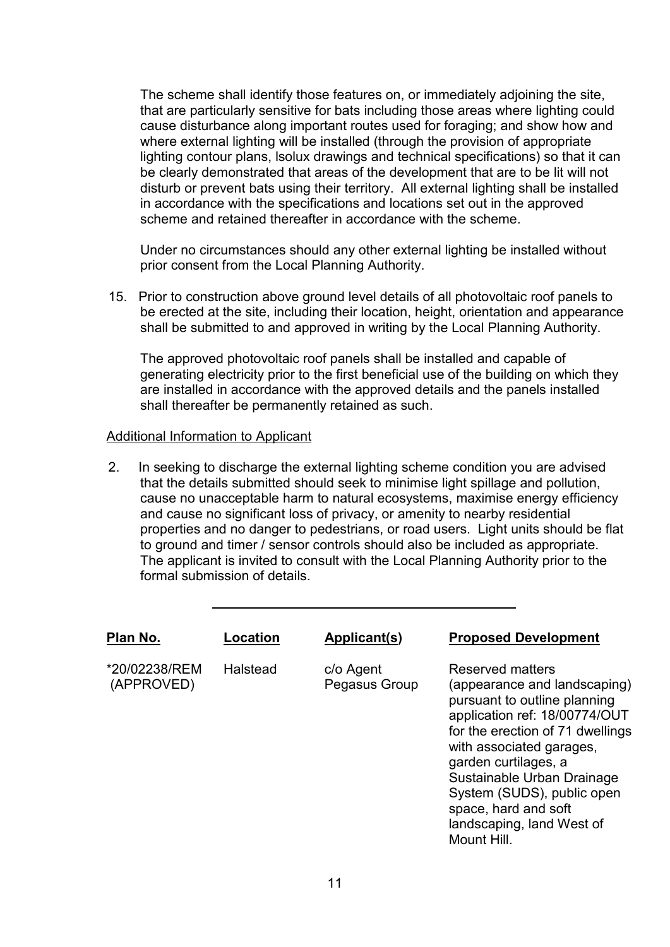The scheme shall identify those features on, or immediately adjoining the site, that are particularly sensitive for bats including those areas where lighting could cause disturbance along important routes used for foraging; and show how and where external lighting will be installed (through the provision of appropriate lighting contour plans, lsolux drawings and technical specifications) so that it can be clearly demonstrated that areas of the development that are to be lit will not disturb or prevent bats using their territory. All external lighting shall be installed in accordance with the specifications and locations set out in the approved scheme and retained thereafter in accordance with the scheme.

Under no circumstances should any other external lighting be installed without prior consent from the Local Planning Authority.

15. Prior to construction above ground level details of all photovoltaic roof panels to be erected at the site, including their location, height, orientation and appearance shall be submitted to and approved in writing by the Local Planning Authority.

The approved photovoltaic roof panels shall be installed and capable of generating electricity prior to the first beneficial use of the building on which they are installed in accordance with the approved details and the panels installed shall thereafter be permanently retained as such.

#### Additional Information to Applicant

2. In seeking to discharge the external lighting scheme condition you are advised that the details submitted should seek to minimise light spillage and pollution, cause no unacceptable harm to natural ecosystems, maximise energy efficiency and cause no significant loss of privacy, or amenity to nearby residential properties and no danger to pedestrians, or road users. Light units should be flat to ground and timer / sensor controls should also be included as appropriate. The applicant is invited to consult with the Local Planning Authority prior to the formal submission of details.

| Plan No.                    | Location | <b>Applicant(s)</b>        | <b>Proposed Development</b>                                                                                                                                                                                                                                                                                                               |
|-----------------------------|----------|----------------------------|-------------------------------------------------------------------------------------------------------------------------------------------------------------------------------------------------------------------------------------------------------------------------------------------------------------------------------------------|
| *20/02238/REM<br>(APPROVED) | Halstead | c/o Agent<br>Pegasus Group | Reserved matters<br>(appearance and landscaping)<br>pursuant to outline planning<br>application ref: 18/00774/OUT<br>for the erection of 71 dwellings<br>with associated garages,<br>garden curtilages, a<br>Sustainable Urban Drainage<br>System (SUDS), public open<br>space, hard and soft<br>landscaping, land West of<br>Mount Hill. |